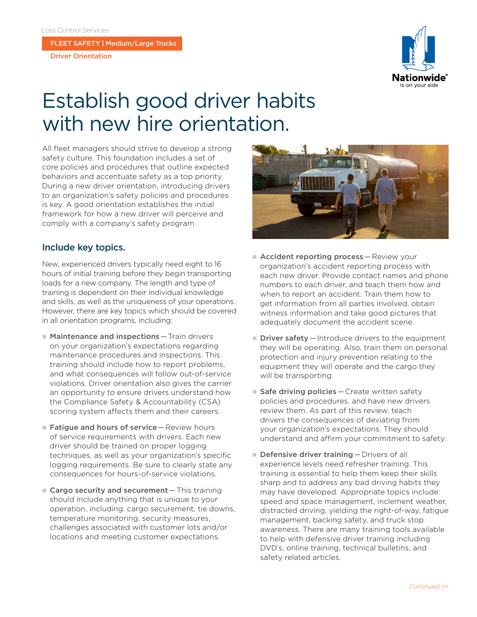FLEET SAFETY | Medium/Large Trucks

Driver Orientation



## Establish good driver habits with new hire orientation.

All fleet managers should strive to develop a strong safety culture. This foundation includes a set of core policies and procedures that outline expected behaviors and accentuate safety as a top priority. During a new driver orientation, introducing drivers to an organization's safety policies and procedures is key. A good orientation establishes the initial framework for how a new driver will perceive and comply with a company's safety program.

## Include key topics.

New, experienced drivers typically need eight to 16 hours of initial training before they begin transporting loads for a new company. The length and type of training is dependent on their individual knowledge and skills, as well as the uniqueness of your operations. However, there are key topics which should be covered in all orientation programs, including:

- $\blacksquare$  Maintenance and inspections  $-$  Train drivers on your organization's expectations regarding maintenance procedures and inspections. This training should include how to report problems, and what consequences will follow out-of-service violations. Driver orientation also gives the carrier an opportunity to ensure drivers understand how the Compliance Safety & Accountability (CSA) scoring system affects them and their careers.
- $\blacksquare$  Fatigue and hours of service Review hours of service requirements with drivers. Each new driver should be trained on proper logging techniques, as well as your organization's specific logging requirements. Be sure to clearly state any consequences for hours-of-service violations.
- $\blacksquare$  Cargo security and securement This training should include anything that is unique to your operation, including: cargo securement, tie downs, temperature monitoring, security measures, challenges associated with customer lots and/or locations and meeting customer expectations.



- $\blacksquare$  Accident reporting process Review your organization's accident reporting process with each new driver. Provide contact names and phone numbers to each driver, and teach them how and when to report an accident. Train them how to get information from all parties involved, obtain witness information and take good pictures that adequately document the accident scene.
- $\blacksquare$  Driver safety  $-$  Introduce drivers to the equipment they will be operating. Also, train them on personal protection and injury prevention relating to the equipment they will operate and the cargo they will be transporting.
- $\blacksquare$  Safe driving policies Create written safety policies and procedures, and have new drivers review them. As part of this review, teach drivers the consequences of deviating from your organization's expectations. They should understand and affirm your commitment to safety.
- $\blacksquare$  Defensive driver training Drivers of all experience levels need refresher training. This training is essential to help them keep their skills sharp and to address any bad driving habits they may have developed. Appropriate topics include: speed and space management, inclement weather, distracted driving, yielding the right-of-way, fatigue management, backing safety, and truck stop awareness. There are many training tools available to help with defensive driver training including DVD's, online training, technical bulletins, and safety related articles.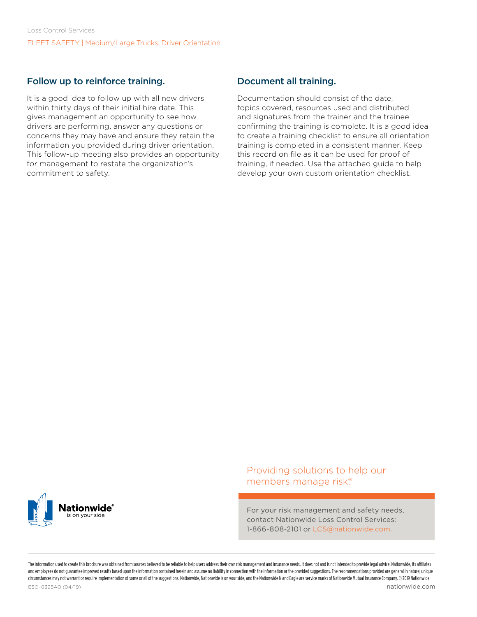## Follow up to reinforce training.

It is a good idea to follow up with all new drivers within thirty days of their initial hire date. This gives management an opportunity to see how drivers are performing, answer any questions or concerns they may have and ensure they retain the information you provided during driver orientation. This follow-up meeting also provides an opportunity for management to restate the organization's commitment to safety.

## Document all training.

Documentation should consist of the date, topics covered, resources used and distributed and signatures from the trainer and the trainee confirming the training is complete. It is a good idea to create a training checklist to ensure all orientation training is completed in a consistent manner. Keep this record on file as it can be used for proof of training, if needed. Use the attached guide to help develop your own custom orientation checklist.



Providing solutions to help our members manage risk.®

For your risk management and safety needs, contact Nationwide Loss Control Services: 1-866-808-2101 or LCS@nationwide.com.

The information uted to create this produced we selling to counted the provided to be prejuding to be priced to be provided to parament and insurance ments that popularing the altable to a property in the produced to be ve and employees do not quarantee improved results based upon the information contained herein and assume no liability in connection with the information or the provided suggestions. The recommendations provided are general i circumstances may not warrant or require implementation of some or all of the suggestions. Nationwide, Nationwide is on your side, and the Nationwide N and Eagle are service marks of Nationwide Mutual Insurance Company. ©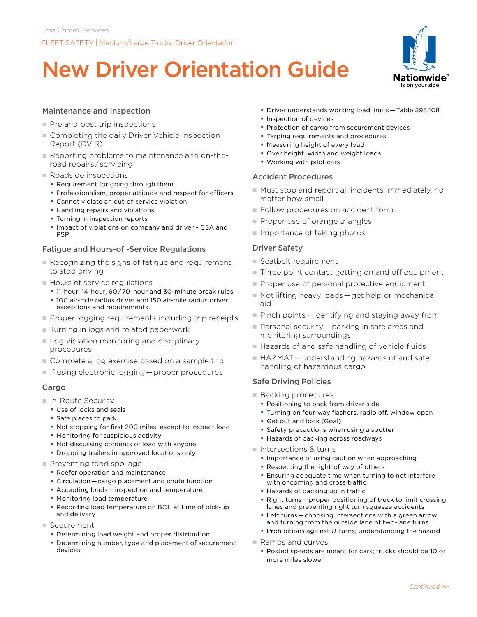# New Driver Orientation Guide



### Maintenance and Inspection

- $\blacksquare$  Pre and post trip inspections
- Completing the daily Driver Vehicle Inspection Report (DVIR)
- Reporting problems to maintenance and on-theroad repairs / servicing
- $\blacksquare$  Roadside inspections
	- **Requirement for going through them**
	- **Professionalism, proper attitude and respect for officers**
	- **Cannot violate an out-of-service violation**
	- **Handling repairs and violations**
	- **Turning in inspection reports**
	- **Impact of violations on company and driver CSA and** PSP

#### Fatigue and Hours-of -Service Regulations

- $\blacksquare$  Recognizing the signs of fatigue and requirement to stop driving
- **Hours of service regulations** 
	- 11-hour, 14-hour, 60 / 70-hour and 30-minute break rules 100 air-mile radius driver and 150 air-mile radius driver exceptions and requirements.
- **Proper logging requirements including trip receipts**
- Turning in logs and related paperwork
- $\blacksquare$  Log violation monitoring and disciplinary procedures
- Complete a log exercise based on a sample trip
- $\blacksquare$  If using electronic logging  $-$  proper procedures

#### Cargo

- $\blacksquare$  In-Route Security
	- Use of locks and seals
	- **Safe places to park**
	- Not stopping for first 200 miles, except to inspect load
	- **Monitoring for suspicious activity**
	- Not discussing contents of load with anyone
	- **Dropping trailers in approved locations only**
- $\blacksquare$  Preventing food spoilage
	- **Reefer operation and maintenance**
	- Circulation — cargo placement and chute function
	- Accepting loads inspection and temperature
	- **Monitoring load temperature**
	- Recording load temperature on BOL at time of pick-up and delivery
- n Securement
	- **Determining load weight and proper distribution**
	- Determining number, type and placement of securement devices
- Driver understands working load limits — Table 393.108
- **Inspection of devices**
- **Protection of cargo from securement devices**
- **Tarping requirements and procedures**
- **Measuring height of every load**
- **Over height, width and weight loads**
- Working with pilot cars

#### Accident Procedures

- Must stop and report all incidents immediately, no matter how small
- Follow procedures on accident form
- $\blacksquare$  Proper use of orange triangles
- $\blacksquare$  Importance of taking photos

#### Driver Safety

- Seatbelt requirement
- $\blacksquare$  Three point contact getting on and off equipment
- Proper use of personal protective equipment
- Not lifting heavy loads get help or mechanical aid
- $\blacksquare$  Pinch points  $-$  identifying and staying away from
- $\blacksquare$  Personal security  $-$  parking in safe areas and monitoring surroundings
- Hazards of and safe handling of vehicle fluids
- HAZMAT understanding hazards of and safe handling of hazardous cargo

#### Safe Driving Policies

- Backing procedures
	- **Positioning to back from driver side**
	- **Turning on four-way flashers, radio off, window open**
	- Get out and look (Goal)
	- **Safety precautions when using a spotter**
	- **Hazards of backing across roadways**
- Intersections & turns
	- **Importance of using caution when approaching**
	- **Respecting the right-of way of others**
	- **Ensuring adequate time when turning to not interfere** with oncoming and cross traffic
	- **Hazards of backing up in traffic**
	- Right turns proper positioning of truck to limit crossing lanes and preventing right turn squeeze accidents
	- Left turns — choosing intersections with a green arrow and turning from the outside lane of two-lane turns
	- **Prohibitions against U-turns; understanding the hazard**
- $\blacksquare$  Ramps and curves
	- Posted speeds are meant for cars; trucks should be 10 or more miles slower